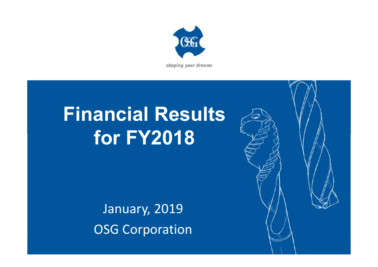

shaping your dreams

# **Financial Results for FY2018**

January, 2019 OSG Corporation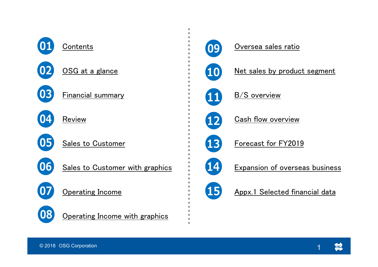



 $\bullet$  $\bullet$  $\bullet$ 

 $\bullet$ 

 $\bullet$ 

 $\bullet$ 

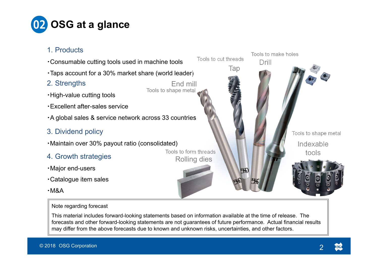

- 1. Products
- Tools to make holesTools to cut threads・Consumable cutting tools used in machine tools DrillTap ・Taps account for a 30% market share (world leader) 2. Strengths End millTools to shape metal ・High-value cutting tools ・Excellent after-sales service・A global sales & service network across 33 countries 3. Dividend policy Tools to shape metal ・Maintain over 30% payout ratio (consolidated) IndexableTools to form threadstools 4. Growth strategies Rolling dies ・Major end-users TS ・Catalogue item sales
- ・M&A

#### Note regarding forecast

This material includes forward-looking statements based on information available at the time of release. The forecasts and other forward-looking statements are not guarantees of future performance. Actual financial results may differ from the above forecasts due to known and unknown risks, uncertainties, and other factors.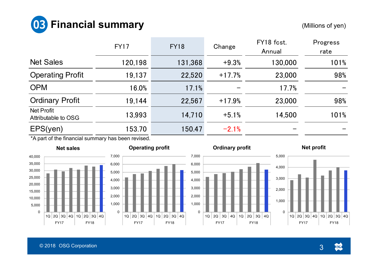

|                                          | <b>FY17</b> | <b>FY18</b> | Change   | FY18 fcst.<br>Annual | Progress<br>rate |
|------------------------------------------|-------------|-------------|----------|----------------------|------------------|
| <b>Net Sales</b>                         | 120,198     | 131,368     | $+9.3%$  | 130,000              | 101%             |
| <b>Operating Profit</b>                  | 19,137      | 22,520      | $+17.7%$ | 23,000               | 98%              |
| <b>OPM</b>                               | 16.0%       | 17.1%       |          | 17.7%                |                  |
| <b>Ordinary Profit</b>                   | 19,144      | 22,567      | $+17.9%$ | 23,000               | 98%              |
| <b>Net Profit</b><br>Attributable to OSG | 13,993      | 14,710      | $+5.1%$  | 14,500               | 101%             |
| EPS(yen)<br>. .                          | 153.70      | 150.47      | $-2.1%$  |                      |                  |

\*A part of the financial summary has been revised.









0

3

**GGO**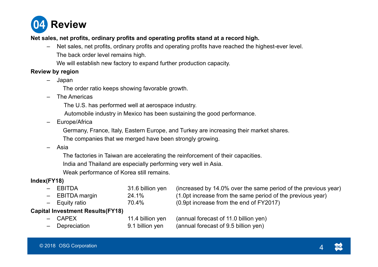

#### **Net sales, net profits, ordinary profits and operating profits stand at a record high.**

- Net sales, net profits, ordinary profits and operating profits have reached the highest-ever level. The back order level remains high.
	- We will establish new factory to expand further production capacity.

#### **Review by region**

- Japan
	- The order ratio keeps showing favorable growth.
- The Americas
	- The U.S. has performed well at aerospace industry.
	- Automobile industry in Mexico has been sustaining the good performance.
- Europe/Africa
	- Germany, France, Italy, Eastern Europe, and Turkey are increasing their market shares.
	- The companies that we merged have been strongly growing.
- Asia
	- The factories in Taiwan are accelerating the reinforcement of their capacities.
	- India and Thailand are especially performing very well in Asia.
	- Weak performance of Korea still remains.

#### **Index(FY18)**

| - EBITDA                                | 31.6 billion yen | (increased by 14.0% over the same period of the previous year) |
|-----------------------------------------|------------------|----------------------------------------------------------------|
| - EBITDA margin                         | 24.1%            | (1.0pt increase from the same period of the previous year)     |
| - Equity ratio                          | 70.4%            | (0.9pt increase from the end of FY2017)                        |
| <b>Capital Investment Results(FY18)</b> |                  |                                                                |
| - CAPEX                                 | 11.4 billion yen | (annual forecast of 11.0 billion yen)                          |
| - Depreciation                          | 9.1 billion yen  | (annual forecast of 9.5 billion yen)                           |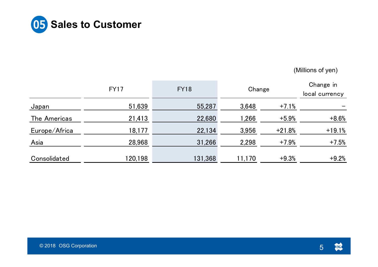

|               | <b>FY17</b> | <b>FY18</b> | Change | Change in<br>local currency |          |
|---------------|-------------|-------------|--------|-----------------------------|----------|
| Japan         | 51,639      | 55,287      | 3,648  | $+7.1%$                     |          |
| The Americas  | 21,413      | 22,680      | 1,266  | $+5.9%$                     | $+8.6%$  |
| Europe/Africa | 18,177      | 22,134      | 3,956  | $+21.8%$                    | $+19.1%$ |
| Asia          | 28,968      | 31,266      | 2,298  | $+7.9%$                     | $+7.5%$  |
| Consolidated  | 120,198     | 131,368     | 11,170 | $+9.3%$                     | $+9.2%$  |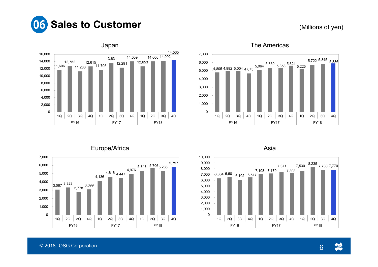



## The Americas



Europe/Africa



Asia

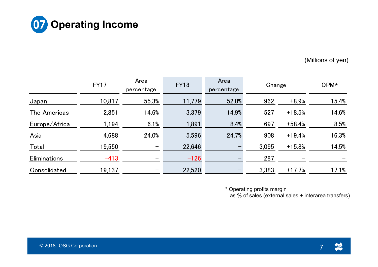

|                     | <b>FY17</b> | Area<br>percentage | <b>FY18</b> | Area<br>percentage | Change | OPM*     |       |
|---------------------|-------------|--------------------|-------------|--------------------|--------|----------|-------|
| Japan               | 10,817      | 55.3%              | 11,779      | 52.0%              | 962    | $+8.9%$  | 15.4% |
| The Americas        | 2,851       | 14.6%              | 3,379       | 14.9%              | 527    | $+18.5%$ | 14.6% |
| Europe/Africa       | 1,194       | 6.1%               | 1,891       | 8.4%               | 697    | $+58.4%$ | 8.5%  |
| Asia                | 4,688       | 24.0%              | 5,596       | 24.7%              | 908    | $+19.4%$ | 16.3% |
| Total               | 19,550      | —                  | 22,646      |                    | 3,095  | $+15.8%$ | 14.5% |
| <b>Eliminations</b> | $-413$      | —                  | $-126$      |                    | 287    |          |       |
| Consolidated        | 19,137      |                    | 22,520      |                    | 3,383  | $+17.7%$ | 17.1% |

\* Operating profits margin

as % of sales (external sales + interarea transfers)

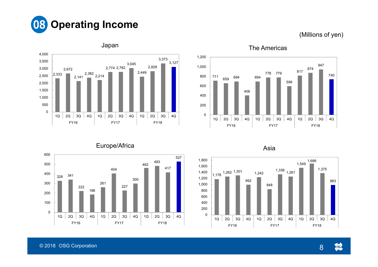



#### Japan





Asia



© 2018 OSG Corporation 8

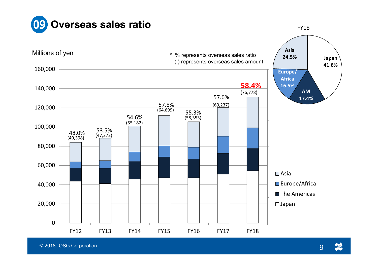



© 2018 OSG Corporation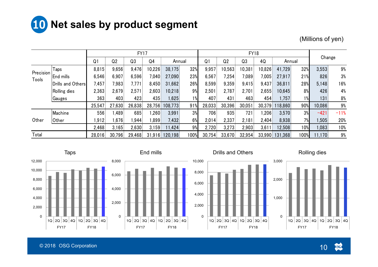

|                    |                   |                |                                                                             | <b>FY17</b> |                |         |      |                |        | <b>FY18</b> |        |        |     | Change |        |
|--------------------|-------------------|----------------|-----------------------------------------------------------------------------|-------------|----------------|---------|------|----------------|--------|-------------|--------|--------|-----|--------|--------|
|                    |                   | Q <sub>1</sub> | Q <sub>2</sub>                                                              | Q3          | Q <sub>4</sub> | Annual  |      | Q <sub>1</sub> | Q2     | Q3          | 4Q     | Annual |     |        |        |
|                    | Taps              | 8,815          | 9,656                                                                       | 9,476       | 10,226         | 38,175  | 32%  | 9,957          | 10,563 | 10,381      | 10,826 | 41,729 | 32% | 3,553  | 9%     |
| Precision<br>Tools | End mills         | 6,546          | 6,907                                                                       | 6,596       | 7,040          | 27,090  | 23%  | 6,567          | 7,254  | 7,089       | 7,005  | 27,917 | 21% | 826    | 3%     |
|                    | Drills and Others | 7,457          | 7,983                                                                       | 7,771       | 8,450          | 31,662  | 26%  | 8,599          | 9,359  | 9,415       | 9,437  | 36,811 | 28% | 5,148  | 16%    |
|                    | Rolling dies      | 2,363          | 2,679                                                                       | 2,571       | 2,603          | 10,218  | 9%   | 2,501          | 2,787  | 2,701       | 2,655  | 10,645 | 8%  | 426    | 4%     |
|                    | Gauges            | 363            | 403                                                                         | 423         | 435            | .625    | 1%   | 407            | 431    | 463         | 454    | ,757   | 1%  | 131    | 8%     |
|                    |                   | 25,547         | 27,630                                                                      | 26,838      | 28,756         | 108,773 | 91%  | 28,033         | 30,396 | 30,051      | 30,379 | 18,860 | 90% | 10,086 | 9%     |
|                    | Machine           | 556            | .489                                                                        | 685         | ,260           | 3,991   | 3%   | 706            | 935    | 721         | ,206   | 3,570  | 3%  | $-421$ | $-11%$ |
| Other              | <b>Other</b>      | 1,912          | .676                                                                        | 944, ا      | ,899           | 7,432   | 6%   | 2,014          | 2,337  | 2,181       | 2,404  | 8,938  | 7%  | ,505   | 20%    |
|                    |                   | 2,468          | 3,165                                                                       | 2,630       | 3,159          | 1,424   | 9%   | 2,720          | 3,273  | 2,903       | 3,611  | 12,508 | 10% | .083   | 10%    |
| Total              |                   | 28,016         | 33,670<br>30,796<br>29,468<br>120,198<br>100%<br>30,754<br>32,954<br>31,916 |             | 33,990         | 131,368 | 100% | 11,170         | 9%     |             |        |        |     |        |        |





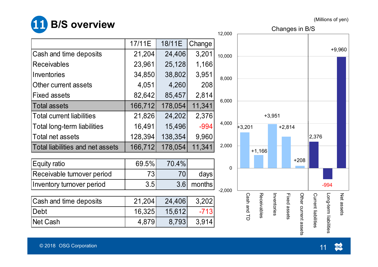

| <b>DIA ALCO AND AND AND A</b>    |         |         |        | 12,000         |             |             |             |              | Changes in B/S       |                     |                       |            |
|----------------------------------|---------|---------|--------|----------------|-------------|-------------|-------------|--------------|----------------------|---------------------|-----------------------|------------|
|                                  | 17/11E  | 18/11E  | Change |                |             |             |             |              |                      |                     |                       |            |
| Cash and time deposits           | 21,204  | 24,406  | 3,201  | 10,000         |             |             |             |              |                      |                     |                       | $+9,960$   |
| <b>Receivables</b>               | 23,961  | 25,128  | 1,166  |                |             |             |             |              |                      |                     |                       |            |
| Inventories                      | 34,850  | 38,802  | 3,951  | 8,000          |             |             |             |              |                      |                     |                       |            |
| Other current assets             | 4,051   | 4,260   | 208    |                |             |             |             |              |                      |                     |                       |            |
| <b>Fixed assets</b>              | 82,642  | 85,457  | 2,814  |                |             |             |             |              |                      |                     |                       |            |
| <b>Total assets</b>              | 166,712 | 178,054 | 11,341 | 6,000          |             |             |             |              |                      |                     |                       |            |
| <b>Total current liabilities</b> | 21,826  | 24,202  | 2,376  |                |             | $+3,951$    |             |              |                      |                     |                       |            |
| Total long-term liabilities      | 16,491  | 15,496  | $-994$ | 4,000          | $+3,201$    | $+2,814$    |             |              |                      |                     |                       |            |
| <b>Total net assets</b>          | 128,394 | 138,354 | 9,960  |                |             |             |             |              |                      | 2,376               |                       |            |
| Total liabilities and net assets | 166,712 | 178,054 | 11,341 | 2,000          |             | $+1,166$    |             |              |                      |                     |                       |            |
|                                  |         |         |        |                |             |             |             |              | $+208$               |                     |                       |            |
| <b>Equity ratio</b>              | 69.5%   | 70.4%   |        | $\overline{0}$ |             |             |             |              |                      |                     |                       |            |
| Receivable turnover period       | 73      | 70      | days!  |                |             |             |             |              |                      |                     |                       |            |
| Inventory turnover period        | 3.5     | 3.6     | months | $-2,000$       |             |             |             |              |                      |                     | $-994$                |            |
|                                  |         |         |        |                |             |             |             |              |                      |                     |                       |            |
| Cash and time deposits           | 21,204  | 24,406  | 3,202  |                |             |             | Inventories |              |                      |                     |                       | Net assets |
| Debt                             | 16,325  | 15,612  | $-713$ |                | Cash and TD | Receivables |             | Fixed assets |                      |                     |                       |            |
| Net Cash                         | 4,879   | 8,793   | 3,914  |                |             |             |             |              | Other current assets | Current liabilities | Long-term liabilities |            |
|                                  |         |         |        |                |             |             |             |              |                      |                     |                       |            |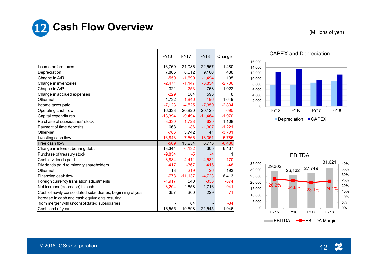

| 16,000 |                                            |             |  |             |  |  |             |  |  |             |  |  |  |
|--------|--------------------------------------------|-------------|--|-------------|--|--|-------------|--|--|-------------|--|--|--|
|        |                                            |             |  |             |  |  |             |  |  |             |  |  |  |
| 14,000 |                                            |             |  |             |  |  |             |  |  |             |  |  |  |
| 12,000 |                                            |             |  |             |  |  |             |  |  |             |  |  |  |
| 10,000 |                                            |             |  |             |  |  |             |  |  |             |  |  |  |
| 8,000  |                                            |             |  |             |  |  |             |  |  |             |  |  |  |
| 6,000  |                                            |             |  |             |  |  |             |  |  |             |  |  |  |
| 4,000  |                                            |             |  |             |  |  |             |  |  |             |  |  |  |
| 2,000  |                                            |             |  |             |  |  |             |  |  |             |  |  |  |
| 0      |                                            |             |  |             |  |  |             |  |  |             |  |  |  |
|        |                                            | <b>FY15</b> |  | <b>FY16</b> |  |  | <b>FY17</b> |  |  | <b>FY18</b> |  |  |  |
|        | Depreciation<br>$\blacksquare$ $\sf CAPEX$ |             |  |             |  |  |             |  |  |             |  |  |  |

#### CAPEX and Depreciation



#### EBITDA

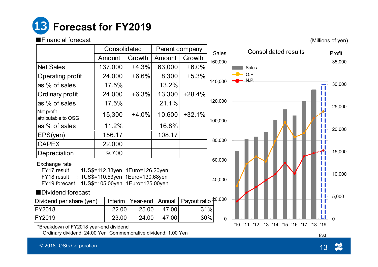

#### ■Financial forecast

(Millions of yen)

35,000

|                                                | Consolidated                                                           |          |        | Parent company                 | <b>Sales</b>     | <b>Consolidated results</b> |                |  |  |  |  |
|------------------------------------------------|------------------------------------------------------------------------|----------|--------|--------------------------------|------------------|-----------------------------|----------------|--|--|--|--|
|                                                | Amount                                                                 | Growth   | Amount | Growth                         | 160,000          |                             | Profit<br>35,0 |  |  |  |  |
| Net Sales                                      | 137,000                                                                | $+4.3%$  | 63,000 | $+6.0%$                        |                  | Sales                       |                |  |  |  |  |
| Operating profit                               | 24,000                                                                 | $+6.6%$  | 8,300  | $+5.3%$                        |                  | O.P.<br>N.P.                |                |  |  |  |  |
| as % of sales                                  | 17.5%                                                                  |          | 13.2%  |                                | 140,000          | $\blacksquare$              | 30,0           |  |  |  |  |
| <b>Ordinary profit</b>                         | 24,000                                                                 | $+6.3%$  | 13,300 | $+28.4%$                       |                  |                             |                |  |  |  |  |
| as % of sales                                  | 17.5%                                                                  |          | 21.1%  |                                | 120,000          |                             | 25,0           |  |  |  |  |
| Net profit<br>attributable to OSG              | 15,300                                                                 | $+4.0%$  | 10,600 | $+32.1%$                       | 100,000          |                             |                |  |  |  |  |
| as % of sales                                  | 11.2%                                                                  |          | 16.8%  |                                |                  |                             | 20,00          |  |  |  |  |
| EPS(yen)                                       | 156.17                                                                 |          | 108.17 |                                |                  |                             |                |  |  |  |  |
| <b>CAPEX</b>                                   | 22,000                                                                 |          |        |                                | 80,000           |                             |                |  |  |  |  |
| Depreciation                                   | 9,700                                                                  |          |        |                                |                  |                             | 15,00          |  |  |  |  |
| Exchange rate<br>FY17 result<br>FY18 result    | : 1US\$=112.33yen 1Euro=126.20yen<br>: 1US\$=110.53yen 1Euro=130.68yen |          |        |                                | 60,000<br>40,000 |                             | 10,00          |  |  |  |  |
| FY19 forecast: 1US\$=105.00yen 1Euro=125.00yen |                                                                        |          |        |                                |                  | B.                          |                |  |  |  |  |
| Dividend forecast                              |                                                                        |          |        |                                |                  |                             | 5,00           |  |  |  |  |
| Dividend per share (yen)                       | Interim                                                                | Year-end | Annual | Payout ratio <sup>20,000</sup> |                  |                             |                |  |  |  |  |

| υυυ        |                                                  | 30,000      |
|------------|--------------------------------------------------|-------------|
| 000        |                                                  | 25,000      |
| 000        |                                                  | 20,000      |
| 000        |                                                  | 15,000      |
| 000<br>000 |                                                  | 10,000      |
| 000        |                                                  | 5,000       |
| 0          | '11<br>'12 '13 '14 '15 '16 '17 '18<br>'10<br>'19 | $\mathbf 0$ |

\*Breakdown of FY2018 year-end dividend

Ordinary dividend: 24.00 Yen Commemorative dividend: 1.00 Yen

FY2018 22.00 25.00 47.00 31% FY2019 23.00 24.00 47.00 30%

fcst.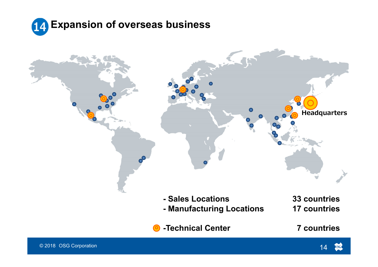